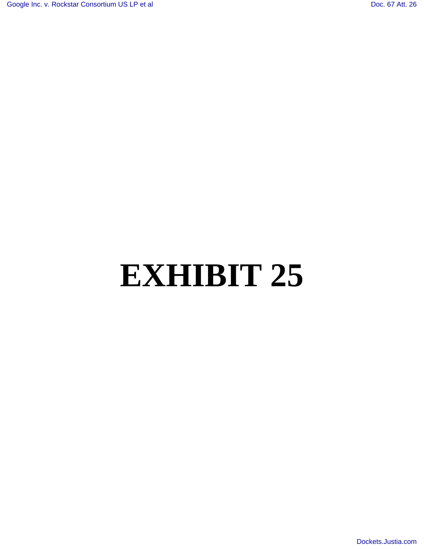## **EXHIBIT 25**

[Dockets.Justia.com](http://dockets.justia.com/)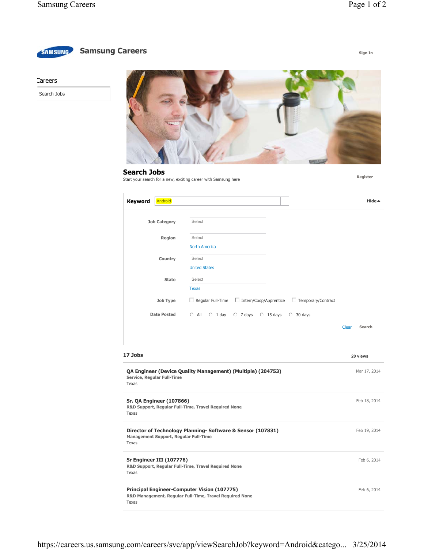

## **Samsung Careers Samsung Careers Sign In**

**Careers** 

```
Search Jobs
```


## **Search Jobs**

Start your search for a new, exciting career with Samsung here

**Register**

| <b>Keyword</b> | Android                               |                                                                                                               | Hide▲                  |
|----------------|---------------------------------------|---------------------------------------------------------------------------------------------------------------|------------------------|
|                | <b>Job Category</b>                   | Select                                                                                                        |                        |
|                | Region                                | Select                                                                                                        |                        |
|                | Country                               | <b>North America</b><br>Select                                                                                |                        |
|                | <b>State</b>                          | <b>United States</b><br>Select                                                                                |                        |
|                | Job Type                              | <b>Texas</b><br>$\Box$ Regular Full-Time<br>$\Box$ Intern/Coop/Apprentice<br>$\Box$ Temporary/Contract        |                        |
|                | <b>Date Posted</b>                    | $\circ$ 1 day $\circ$ 7 days $\circ$ 15 days<br>$\circ$ All<br>$\degree$ 30 days                              |                        |
|                |                                       |                                                                                                               | Search<br><b>Clear</b> |
| 17 Jobs        |                                       |                                                                                                               | 20 views               |
|                |                                       |                                                                                                               |                        |
| Texas          | <b>Service, Regular Full-Time</b>     | QA Engineer (Device Quality Management) (Multiple) (204753)                                                   | Mar 17, 2014           |
| Texas          | <b>Sr. QA Engineer (107866)</b>       | R&D Support, Regular Full-Time, Travel Required None                                                          | Feb 18, 2014           |
| Texas          | Management Support, Regular Full-Time | Director of Technology Planning- Software & Sensor (107831)                                                   | Feb 19, 2014           |
| Texas          | Sr Engineer III (107776)              | R&D Support, Regular Full-Time, Travel Required None                                                          | Feb 6, 2014            |
| Texas          |                                       | <b>Principal Engineer-Computer Vision (107775)</b><br>R&D Management, Regular Full-Time, Travel Required None | Feb 6, 2014            |